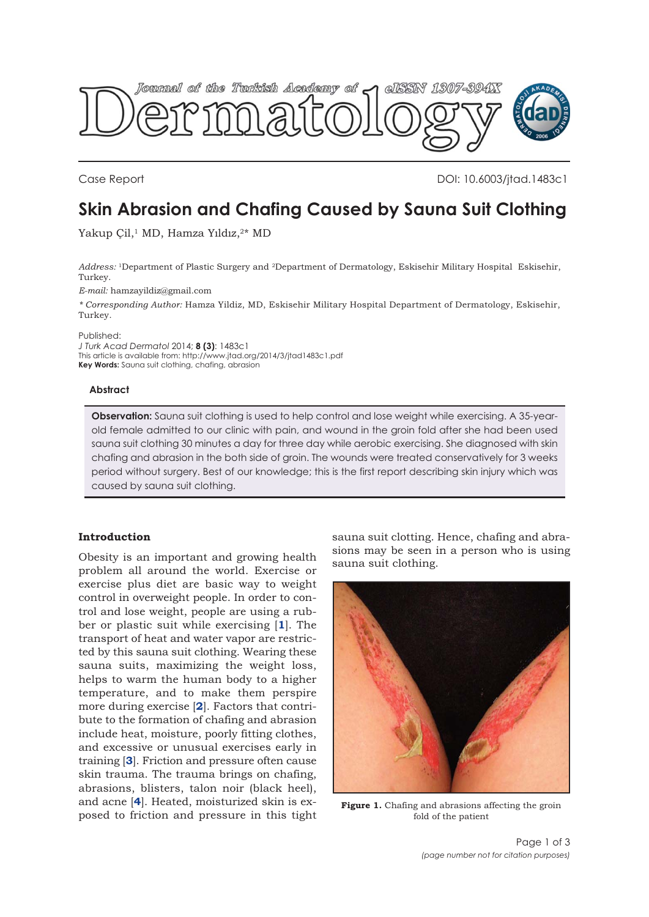<span id="page-0-0"></span>

Case Report DOI: 10.6003/jtad.1483c1

# **Skin Abrasion and Chafing Caused by Sauna Suit Clothing**

Yakup Çil,<sup>1</sup> MD, Hamza Yıldız,<sup>2\*</sup> MD

*Address:* 1Department of Plastic Surgery and 2Department of Dermatology, Eskisehir Military Hospital Eskisehir, Turkey.

*E-mail:* hamzayildiz@gmail.com

*\* Corresponding Author:* Hamza Yildiz, MD, Eskisehir Military Hospital Department of Dermatology, Eskisehir, Turkey.

Published:

*J Turk Acad Dermatol* 2014; **8 (3)**: 1483c1 This article is available from: http://www.jtad.org/2014/3/jtad1483c1.pdf **Key Words:** Sauna suit clothing, chafing, abrasion

## **Abstract**

**Observation:** Sauna suit clothing is used to help control and lose weight while exercising. A 35-yearold female admitted to our clinic with pain, and wound in the groin fold after she had been used sauna suit clothing 30 minutes a day for three day while aerobic exercising. She diagnosed with skin chafing and abrasion in the both side of groin. The wounds were treated conservatively for 3 weeks period without surgery. Best of our knowledge; this is the first report describing skin injury which was caused by sauna suit clothing.

# **Introduction**

Obesity is an important and growing health problem all around the world. Exercise or exercise plus diet are basic way to weight control in overweight people. In order to control and lose weight, people are using a rubber or plastic suit while exercising [**[1](#page-2-0)**]. The transport of heat and water vapor are restricted by this sauna suit clothing. Wearing these sauna suits, maximizing the weight loss, helps to warm the human body to a higher temperature, and to make them perspire more during exercise [**[2](#page-2-0)**]. Factors that contribute to the formation of chafing and abrasion include heat, moisture, poorly fitting clothes, and excessive or unusual exercises early in training [**[3](#page-2-0)**]. Friction and pressure often cause skin trauma. The trauma brings on chafing, abrasions, blisters, talon noir (black heel), and acne [**[4](#page-2-0)**]. Heated, moisturized skin is exposed to friction and pressure in this tight

sauna suit clotting. Hence, chafing and abrasions may be seen in a person who is using sauna suit clothing.



Figure 1. Chafing and abrasions affecting the groin fold of the patient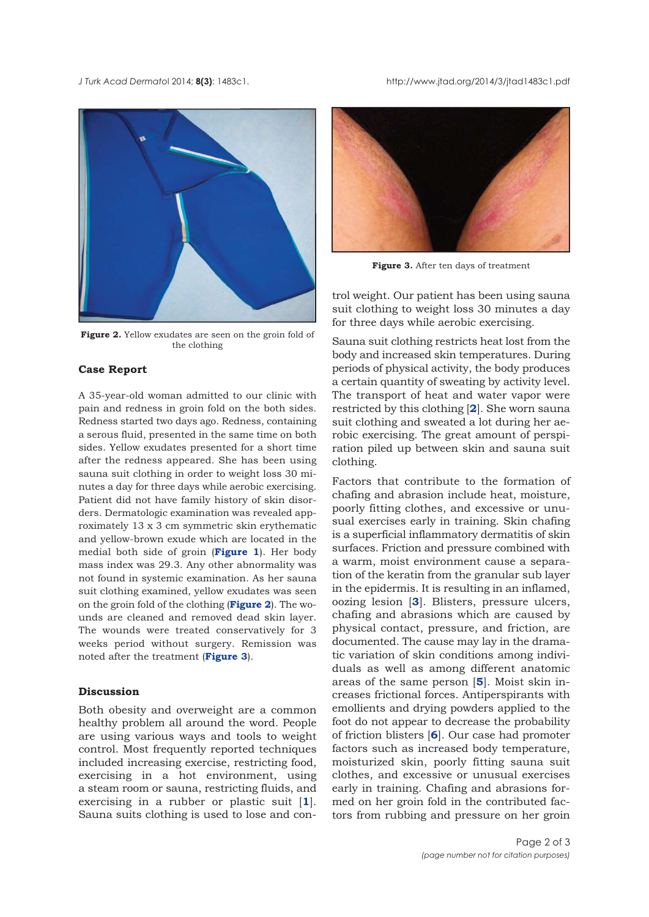*J Turk Acad Dermato*l 2014; **8(3)**: 1483c1. http://www.jtad.org/2014/3/jtad1483c1.pdf



**Figure 2.** Yellow exudates are seen on the groin fold of the clothing

## **Case Report**

A 35-year-old woman admitted to our clinic with pain and redness in groin fold on the both sides. Redness started two days ago. Redness, containing a serous fluid, presented in the same time on both sides. Yellow exudates presented for a short time after the redness appeared. She has been using sauna suit clothing in order to weight loss 30 minutes a day for three days while aerobic exercising. Patient did not have family history of skin disorders. Dermatologic examination was revealed approximately 13 x 3 cm symmetric skin erythematic and yellow-brown exude which are located in the medial both side of groin (**[Figure 1](#page-0-0)**). Her body mass index was 29.3. Any other abnormality was not found in systemic examination. As her sauna suit clothing examined, yellow exudates was seen on the groin fold of the clothing (**Figure 2**). The wounds are cleaned and removed dead skin layer. The wounds were treated conservatively for 3 weeks period without surgery. Remission was noted after the treatment (**Figure 3**).

# **Discussion**

Both obesity and overweight are a common healthy problem all around the word. People are using various ways and tools to weight control. Most frequently reported techniques included increasing exercise, restricting food, exercising in a hot environment, using a steam room or sauna, restricting fluids, and exercising in a rubber or plastic suit [[1](#page-2-0)]. Sauna suits clothing is used to lose and con-



**Figure 3.** After ten days of treatment

trol weight. Our patient has been using sauna suit clothing to weight loss 30 minutes a day for three days while aerobic exercising.

Sauna suit clothing restricts heat lost from the body and increased skin temperatures. During periods of physical activity, the body produces a certain quantity of sweating by activity level. The transport of heat and water vapor were restricted by this clothing [**[2](#page-2-0)**]. She worn sauna suit clothing and sweated a lot during her aerobic exercising. The great amount of perspiration piled up between skin and sauna suit clothing.

Factors that contribute to the formation of chafing and abrasion include heat, moisture, poorly fitting clothes, and excessive or unusual exercises early in training. Skin chafing is a superficial inflammatory dermatitis of skin surfaces. Friction and pressure combined with a warm, moist environment cause a separation of the keratin from the granular sub layer in the epidermis. It is resulting in an inflamed, oozing lesion [**[3](#page-2-0)**]. Blisters, pressure ulcers, chafing and abrasions which are caused by physical contact, pressure, and friction, are documented. The cause may lay in the dramatic variation of skin conditions among individuals as well as among different anatomic areas of the same person [**[5](#page-2-0)**]. Moist skin increases frictional forces. Antiperspirants with emollients and drying powders applied to the foot do not appear to decrease the probability of friction blisters [**[6](#page-2-0)**]. Our case had promoter factors such as increased body temperature, moisturized skin, poorly fitting sauna suit clothes, and excessive or unusual exercises early in training. Chafing and abrasions formed on her groin fold in the contributed factors from rubbing and pressure on her groin